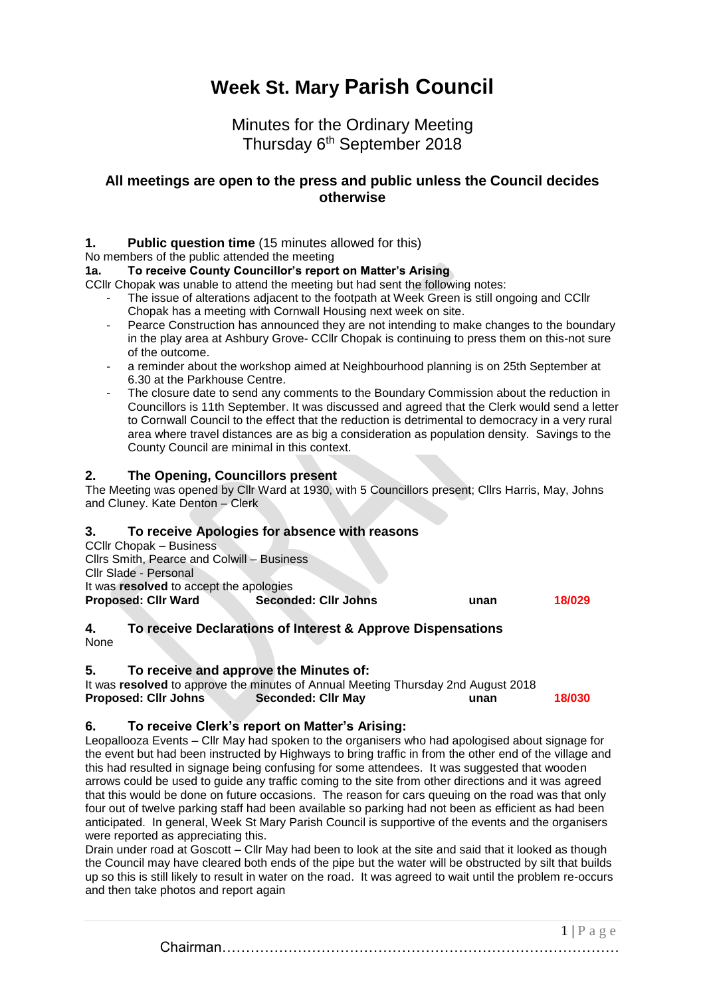# **Week St. Mary Parish Council**

## Minutes for the Ordinary Meeting Thursday 6<sup>th</sup> September 2018

### **All meetings are open to the press and public unless the Council decides otherwise**

#### **1. Public question time** (15 minutes allowed for this)

No members of the public attended the meeting

#### **1a. To receive County Councillor's report on Matter's Arising**

CCllr Chopak was unable to attend the meeting but had sent the following notes:

- The issue of alterations adjacent to the footpath at Week Green is still ongoing and CCIIr Chopak has a meeting with Cornwall Housing next week on site.
	- Pearce Construction has announced they are not intending to make changes to the boundary in the play area at Ashbury Grove- CCllr Chopak is continuing to press them on this-not sure of the outcome.
	- a reminder about the workshop aimed at Neighbourhood planning is on 25th September at 6.30 at the Parkhouse Centre.
	- The closure date to send any comments to the Boundary Commission about the reduction in Councillors is 11th September. It was discussed and agreed that the Clerk would send a letter to Cornwall Council to the effect that the reduction is detrimental to democracy in a very rural area where travel distances are as big a consideration as population density. Savings to the County Council are minimal in this context.

#### **2. The Opening, Councillors present**

The Meeting was opened by Cllr Ward at 1930, with 5 Councillors present; Cllrs Harris, May, Johns and Cluney. Kate Denton – Clerk

#### **3. To receive Apologies for absence with reasons**

CCllr Chopak – Business Cllrs Smith, Pearce and Colwill – Business Cllr Slade - Personal It was **resolved** to accept the apologies **Proposed: Cllr Ward Seconded: Cllr Johns unan 18/029**

#### **4. To receive Declarations of Interest & Approve Dispensations** None

#### **5. To receive and approve the Minutes of:**

It was **resolved** to approve the minutes of Annual Meeting Thursday 2nd August 2018 **Proposed: Cllr Johns Seconded: Cllr May unan 18/030**

#### **6. To receive Clerk's report on Matter's Arising:**

Leopallooza Events – Cllr May had spoken to the organisers who had apologised about signage for the event but had been instructed by Highways to bring traffic in from the other end of the village and this had resulted in signage being confusing for some attendees. It was suggested that wooden arrows could be used to guide any traffic coming to the site from other directions and it was agreed that this would be done on future occasions. The reason for cars queuing on the road was that only four out of twelve parking staff had been available so parking had not been as efficient as had been anticipated. In general, Week St Mary Parish Council is supportive of the events and the organisers were reported as appreciating this.

Drain under road at Goscott – Cllr May had been to look at the site and said that it looked as though the Council may have cleared both ends of the pipe but the water will be obstructed by silt that builds up so this is still likely to result in water on the road. It was agreed to wait until the problem re-occurs and then take photos and report again

> $1 | P a e e$ Chairman…………………………………………………………………………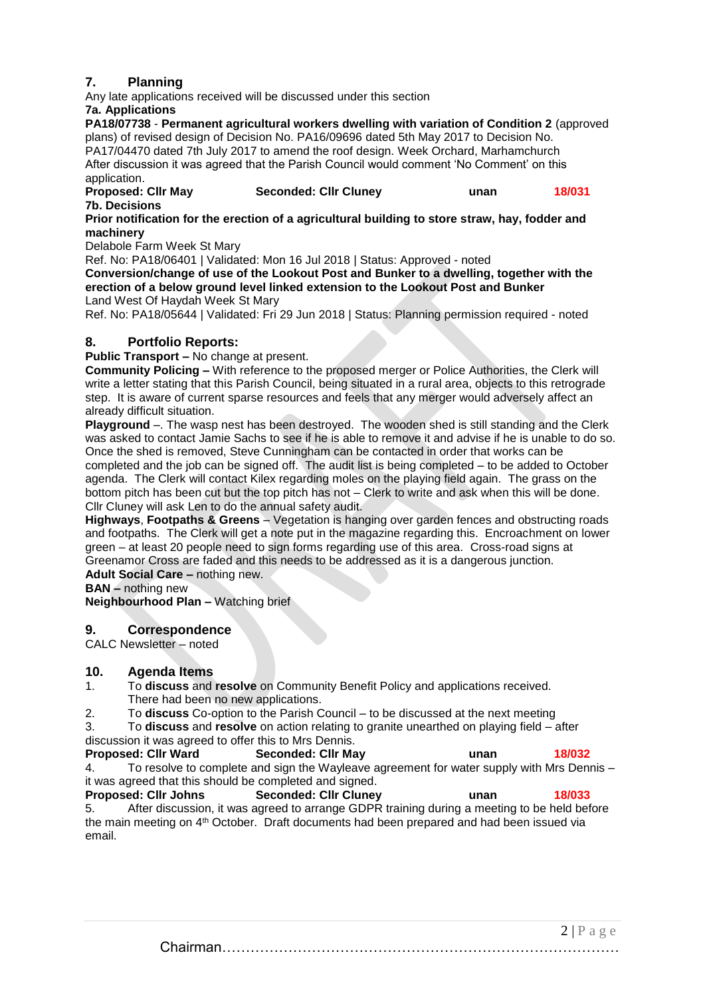#### **7. Planning**

Any late applications received will be discussed under this section

#### **7a. Applications**

**PA18/07738** - **Permanent agricultural workers dwelling with variation of Condition 2** (approved plans) of revised design of Decision No. PA16/09696 dated 5th May 2017 to Decision No. PA17/04470 dated 7th July 2017 to amend the roof design. Week Orchard, Marhamchurch After discussion it was agreed that the Parish Council would comment 'No Comment' on this application.

**Proposed: Cllr May Seconded: Cllr Cluney unan 18/031 7b. Decisions**

**[Prior notification for the erection of a agricultural building to store straw, hay, fodder and](http://planning.cornwall.gov.uk/online-applications/applicationDetails.do?keyVal=PBN6E5FG1TN00&activeTab=summary)  [machinery](http://planning.cornwall.gov.uk/online-applications/applicationDetails.do?keyVal=PBN6E5FG1TN00&activeTab=summary)**

Delabole Farm Week St Mary

Ref. No: PA18/06401 | Validated: Mon 16 Jul 2018 | Status: Approved - noted **[Conversion/change of use of the Lookout Post and Bunker to a dwelling, together with the](http://planning.cornwall.gov.uk/online-applications/applicationDetails.do?keyVal=PADFABFGIXH00&activeTab=summary)  [erection of a below ground level linked extension to the Lookout Post and Bunker](http://planning.cornwall.gov.uk/online-applications/applicationDetails.do?keyVal=PADFABFGIXH00&activeTab=summary)** Land West Of Haydah Week St Mary

Ref. No: PA18/05644 | Validated: Fri 29 Jun 2018 | Status: Planning permission required - noted

#### **8. Portfolio Reports:**

**Public Transport –** No change at present.

**Community Policing –** With reference to the proposed merger or Police Authorities, the Clerk will write a letter stating that this Parish Council, being situated in a rural area, objects to this retrograde step. It is aware of current sparse resources and feels that any merger would adversely affect an already difficult situation.

**Playground** –. The wasp nest has been destroyed. The wooden shed is still standing and the Clerk was asked to contact Jamie Sachs to see if he is able to remove it and advise if he is unable to do so. Once the shed is removed, Steve Cunningham can be contacted in order that works can be completed and the job can be signed off. The audit list is being completed – to be added to October agenda. The Clerk will contact Kilex regarding moles on the playing field again. The grass on the bottom pitch has been cut but the top pitch has not – Clerk to write and ask when this will be done. Cllr Cluney will ask Len to do the annual safety audit.

**Highways**, **Footpaths & Greens** – Vegetation is hanging over garden fences and obstructing roads and footpaths. The Clerk will get a note put in the magazine regarding this. Encroachment on lower green – at least 20 people need to sign forms regarding use of this area. Cross-road signs at Greenamor Cross are faded and this needs to be addressed as it is a dangerous junction.

**Adult Social Care –** nothing new.

**BAN –** nothing new

**Neighbourhood Plan –** Watching brief

#### **9. Correspondence**

CALC Newsletter – noted

#### **10. Agenda Items**

- 1. To **discuss** and **resolve** on Community Benefit Policy and applications received. There had been no new applications.
- 2. To **discuss** Co-option to the Parish Council to be discussed at the next meeting

3. To **discuss** and **resolve** on action relating to granite unearthed on playing field – after discussion it was agreed to offer this to Mrs Dennis.

**Proposed: Cllr Ward Seconded: Cllr May unan 18/032** 4. To resolve to complete and sign the Wayleave agreement for water supply with Mrs Dennis – it was agreed that this should be completed and signed.

**Proposed: Cllr Johns Seconded: Cllr Cluney unan 18/033** 5. After discussion, it was agreed to arrange GDPR training during a meeting to be held before the main meeting on 4th October. Draft documents had been prepared and had been issued via email.